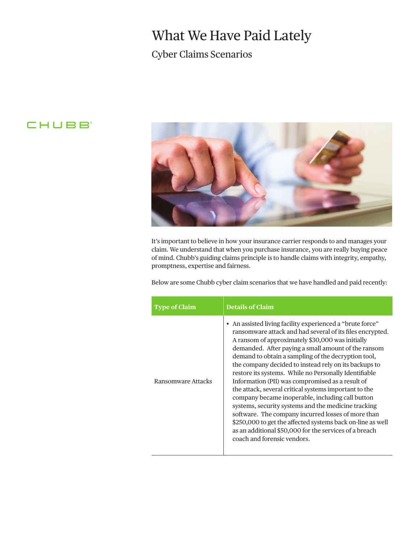## What We Have Paid Lately

## Cyber Claims Scenarios

## **CHUBB**



It's important to believe in how your insurance carrier responds to and manages your claim. We understand that when you purchase insurance, you are really buying peace of mind. Chubb's guiding claims principle is to handle claims with integrity, empathy, promptness, expertise and fairness.

Below are some Chubb cyber claim scenarios that we have handled and paid recently:

| <b>Type of Claim</b> | <b>Details of Claim</b>                                                                                                                                                                                                                                                                                                                                                                                                                                                                                                                                                                                                                                                                                                                                                                                                                         |
|----------------------|-------------------------------------------------------------------------------------------------------------------------------------------------------------------------------------------------------------------------------------------------------------------------------------------------------------------------------------------------------------------------------------------------------------------------------------------------------------------------------------------------------------------------------------------------------------------------------------------------------------------------------------------------------------------------------------------------------------------------------------------------------------------------------------------------------------------------------------------------|
| Ransomware Attacks   | • An assisted living facility experienced a "brute force"<br>ransomware attack and had several of its files encrypted.<br>A ransom of approximately \$30,000 was initially<br>demanded. After paying a small amount of the ransom<br>demand to obtain a sampling of the decryption tool,<br>the company decided to instead rely on its backups to<br>restore its systems. While no Personally Identifiable<br>Information (PII) was compromised as a result of<br>the attack, several critical systems important to the<br>company became inoperable, including call button<br>systems, security systems and the medicine tracking<br>software. The company incurred losses of more than<br>\$250,000 to get the affected systems back on-line as well<br>as an additional \$50,000 for the services of a breach<br>coach and forensic vendors. |